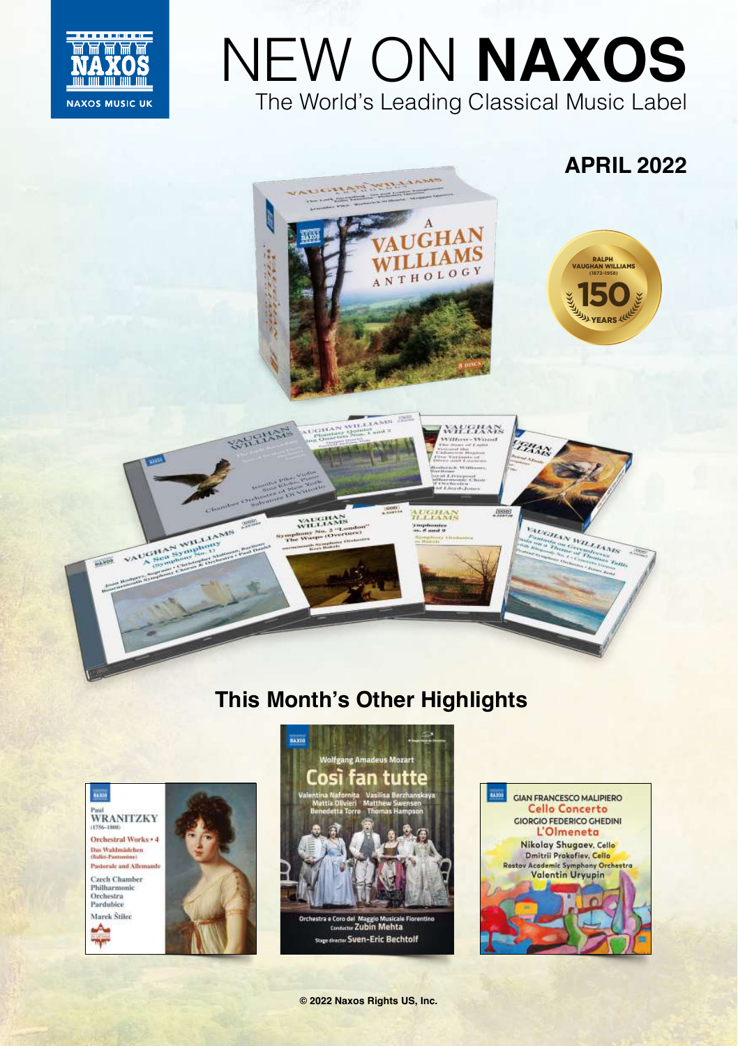

# NEW ON **NAXOS** The World's Leading Classical Music Label

WEEHAN

AUGHAN

ymphonics<br>\*\*\*\* # and 9

 $\frac{1}{2}$ 

EHAN

AUGHAN WHITERS





ATICITAN WILLIAMS

WILLIAMS

WILLIAMP<br>Symphony No. 2 "Londs<br>The Wasps (Overlars

**ROWERSTE** 



## **This Month's Other Highlights**



VAUGHAN WILLIAMS

 $-165$ 









**© 2022 Naxos Rights US, Inc.**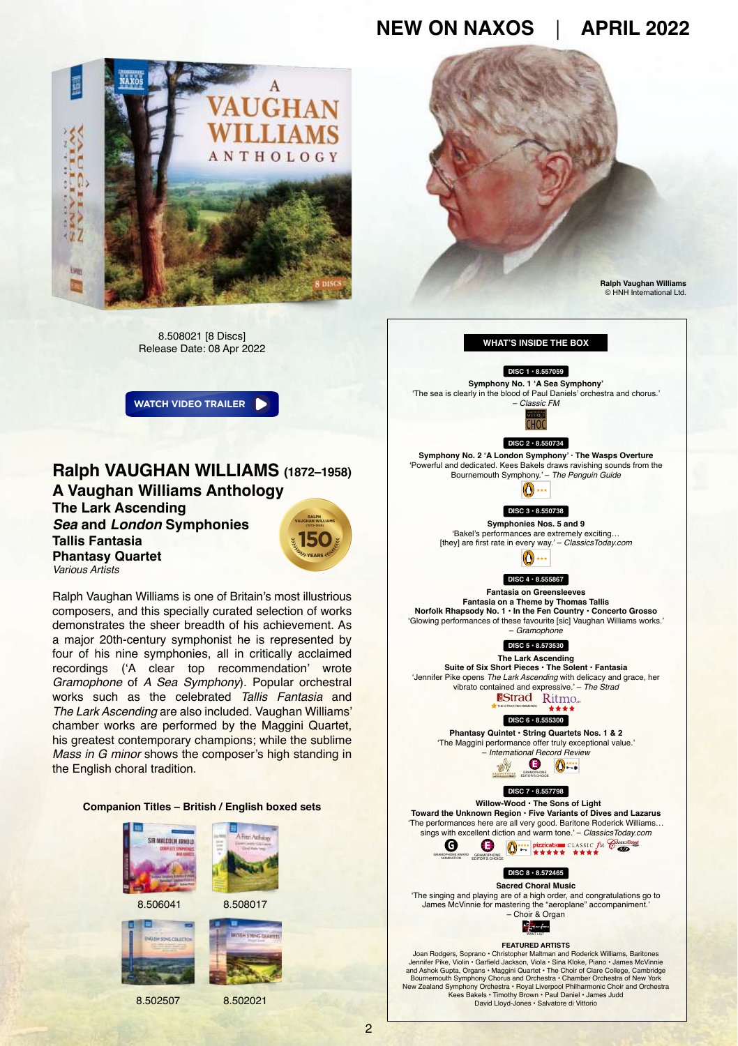

8.508021 [8 Discs] Release Date: 08 Apr 2022

**[WATCH VIDEO TRAILER](https://youtu.be/uI02G30qcyY)**

#### **Ralph VAUGHAN WILLIAMS (1872–1958) A Vaughan Williams Anthology The Lark Ascending** *Sea* **and** *London* **Symphonies Tallis Fantasia Phantasy Quartet 150** VAUGHAN WILLIAMS YEARS

*Various Artists* Ralph Vaughan Williams is one of Britain's most illustrious composers, and this specially curated selection of works demonstrates the sheer breadth of his achievement. As a major 20th-century symphonist he is represented by four of his nine symphonies, all in critically acclaimed recordings ('A clear top recommendation' wrote *Gramophone* of *A Sea Symphony*). Popular orchestral works such as the celebrated *Tallis Fantasia* and *The Lark Ascending* are also included. Vaughan Williams' chamber works are performed by the Maggini Quartet, his greatest contemporary champions; while the sublime *Mass in G minor* shows the composer's high standing in

## **Companion Titles – British / English boxed sets**



the English choral tradition.



8.502507 8.502021



David Lloyd-Jones • Salvatore di Vittorio

2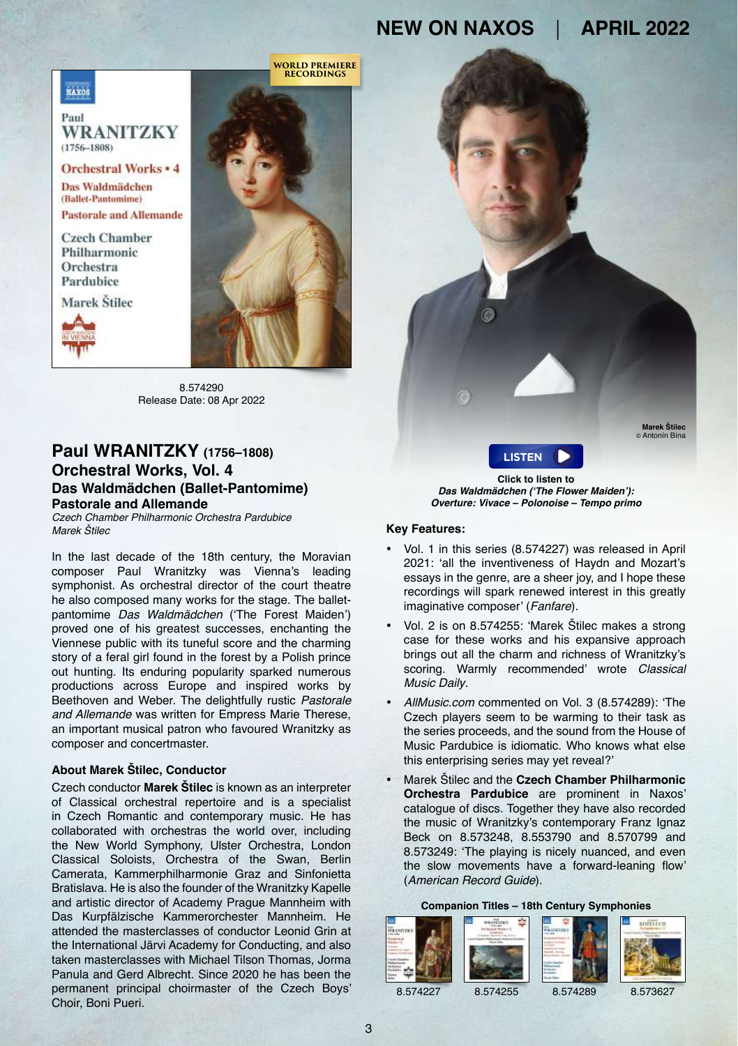**WORLD PREMIERE RECORDINGS**



Paul WRANITZKY  $(1756 - 1808)$ 

**Orchestral Works . 4** Das Waldmädchen (Ballet-Pantomime) **Pastorale and Allemande** 

Czech Chamber Philharmonic Orchestra Pardubice

Marek Štilec





8.574290 Release Date: 08 Apr 2022

## **Paul WRANITZKY (1756–1808) Orchestral Works, Vol. 4 Das Waldmädchen (Ballet-Pantomime) Pastorale and Allemande**

*Czech Chamber Philharmonic Orchestra Pardubice Marek Štilec*

In the last decade of the 18th century, the Moravian composer Paul Wranitzky was Vienna's leading symphonist. As orchestral director of the court theatre he also composed many works for the stage. The balletpantomime *Das Waldmädchen* ('The Forest Maiden') proved one of his greatest successes, enchanting the Viennese public with its tuneful score and the charming story of a feral girl found in the forest by a Polish prince out hunting. Its enduring popularity sparked numerous productions across Europe and inspired works by Beethoven and Weber. The delightfully rustic *Pastorale and Allemande* was written for Empress Marie Therese, an important musical patron who favoured Wranitzky as composer and concertmaster.

## **About Marek Štilec, Conductor**

Czech conductor **[Marek Štilec](https://www.naxos.com/person/Marek_Stilec/148049.htm)** is known as an interpreter of Classical orchestral repertoire and is a specialist in Czech Romantic and contemporary music. He has collaborated with orchestras the world over, including the New World Symphony, Ulster Orchestra, London Classical Soloists, Orchestra of the Swan, Berlin Camerata, Kammerphilharmonie Graz and Sinfonietta Bratislava. He is also the founder of the Wranitzky Kapelle and artistic director of Academy Prague Mannheim with Das Kurpfälzische Kammerorchester Mannheim. He attended the masterclasses of conductor Leonid Grin at the International Järvi Academy for Conducting, and also taken masterclasses with Michael Tilson Thomas, Jorma Panula and Gerd Albrecht. Since 2020 he has been the permanent principal choirmaster of the Czech Boys' Choir, Boni Pueri.

**Click to listen to [LISTEN](https://soundcloud.com/naxosmusicgroup/8574290-track01-excerpt)**

**Marek Štilec** © Antonín Bína

**Das Waldmädchen ('The Flower Maiden'): Overture: Vivace – Polonoise – Tempo primo**

#### **Key Features:**

- Vol. 1 in this series (8.574227) was released in April 2021: 'all the inventiveness of Haydn and Mozart's essays in the genre, are a sheer joy, and I hope these recordings will spark renewed interest in this greatly imaginative composer' (*Fanfare*).
- Vol. 2 is on 8.574255: 'Marek Štilec makes a strong case for these works and his expansive approach brings out all the charm and richness of Wranitzky's scoring. Warmly recommended' wrote *Classical Music Daily*.
- *AllMusic.com* commented on Vol. 3 (8.574289): 'The Czech players seem to be warming to their task as the series proceeds, and the sound from the House of Music Pardubice is idiomatic. Who knows what else this enterprising series may yet reveal?'
- Marek Štilec and the **[Czech Chamber Philharmonic](https://www.naxos.com/person/Czech_Chamber_Philharmonic_Orchestra__Pardubice/153152.htm) [Orchestra Pardubice](https://www.naxos.com/person/Czech_Chamber_Philharmonic_Orchestra__Pardubice/153152.htm)** are prominent in Naxos' catalogue of discs. Together they have also recorded the music of Wranitzky's contemporary Franz Ignaz Beck on 8.573248, 8.553790 and 8.570799 and 8.573249: 'The playing is nicely nuanced, and even the slow movements have a forward-leaning flow' (*American Record Guide*).

#### **[Compa](https://naxosdirect.co.uk/items/paul-wranitzky-orchestral-works-vol.-1-overtures-symphony-in-c-major-symphony-in-b-flat-major-557608)[nion Titles – 18](https://naxosdirect.co.uk/items/paul-wranitzky-orchestral-works-vol.-2-symphonies-563163)t[h Century Sym](https://naxosdirect.co.uk/items/paul-wranitzky-orchestral-works-vol.-3-symphony-in-d-major-la-chasse-symphony-in-c-major-mitegef%c3%bchl-overture-die-gute-mutte-overture-567068)[phonies](https://naxosdirect.co.uk/items/kozeluch-symphonies-vol.-1-388908)**



8.574227 8.574255 8.574289 8.573627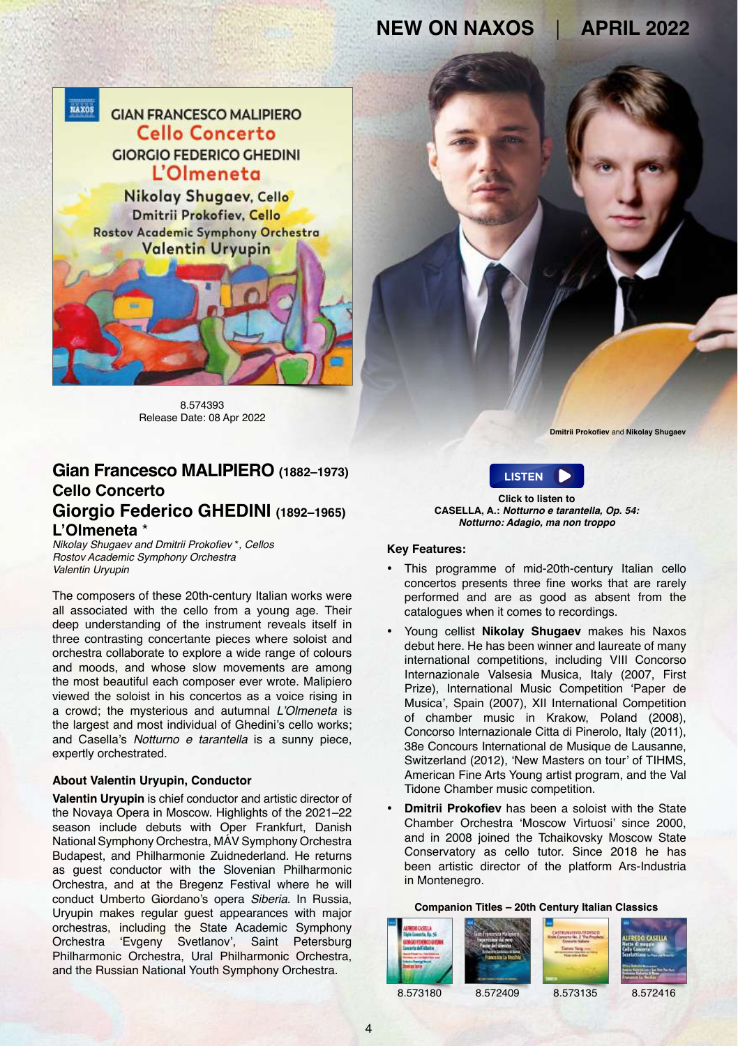

8.574393 Release Date: 08 Apr 2022

## **Gian Francesco MALIPIERO (1882–1973) Cello Concerto Giorgio Federico GHEDINI (1892–1965)**

**L'Olmeneta** \* Nikolay Shugaev and Dmitrii Prokofiev \**, Cellos Rostov Academic Symphony Orchestra Valentin Uryupin* 

The composers of these 20th-century Italian works were all associated with the cello from a young age. Their deep understanding of the instrument reveals itself in three contrasting concertante pieces where soloist and orchestra collaborate to explore a wide range of colours and moods, and whose slow movements are among the most beautiful each composer ever wrote. Malipiero viewed the soloist in his concertos as a voice rising in a crowd; the mysterious and autumnal L'Olmeneta is the largest and most individual of Ghedini's cello works; and Casella's *Notturno e tarantella* is a sunny piece, expertly orchestrated.

### **About Valentin Uryupin, Conductor**

**[Valentin Uryupin](https://en.karstenwitt.com/artist/valentin-uryupin)** is chief conductor and artistic director of the Novaya Opera in Moscow. Highlights of the 2021–22 season include debuts with Oper Frankfurt, Danish National Symphony Orchestra, MÁV Symphony Orchestra Budapest, and Philharmonie Zuidnederland. He returns as guest conductor with the Slovenian Philharmonic Orchestra, and at the Bregenz Festival where he will conduct Umberto Giordano's opera *Siberia*. In Russia, Uryupin makes regular guest appearances with major orchestras, including the State Academic Symphony Orchestra 'Evgeny Svetlanov', Saint Petersburg Philharmonic Orchestra, Ural Philharmonic Orchestra, and the Russian National Youth Symphony Orchestra.

**Dmitrii Prokofiev** and **Nikolay Shugaev**



**Click to listen to CASELLA, A.: Notturno e tarantella, Op. 54: Notturno: Adagio, ma non troppo**

## **Key Features:**

- This programme of mid-20th-century Italian cello concertos presents three fine works that are rarely performed and are as good as absent from the catalogues when it comes to recordings.
- Young cellist **[Nikolay Shugaev](https://nikolayshugaev.com/biography)** makes his Naxos debut here. He has been winner and laureate of many international competitions, including VIII Concorso Internazionale Valsesia Musica, Italy (2007, First Prize), International Music Competition 'Paper de Musica', Spain (2007), XII International Competition of chamber music in Krakow, Poland (2008), Concorso Internazionale Citta di Pinerolo, Italy (2011), 38e Concours International de Musique de Lausanne, Switzerland (2012), 'New Masters on tour' of TIHMS, American Fine Arts Young artist program, and the Val Tidone Chamber music competition.
- **[Dmitrii Prokofiev](https://summercampforchambermusic.me/en/mentori/dmitrii-prokofiev/)** has been a soloist with the State Chamber Orchestra 'Moscow Virtuosi' since 2000, and in 2008 joined the Tchaikovsky Moscow State Conservatory as cello tutor. Since 2018 he has been artistic director of the platform Ars-Industria in Montenegro.

#### **Companion Titles – 20th Century Italian Classics**



8.573180 8.572409 8.573135 8.572416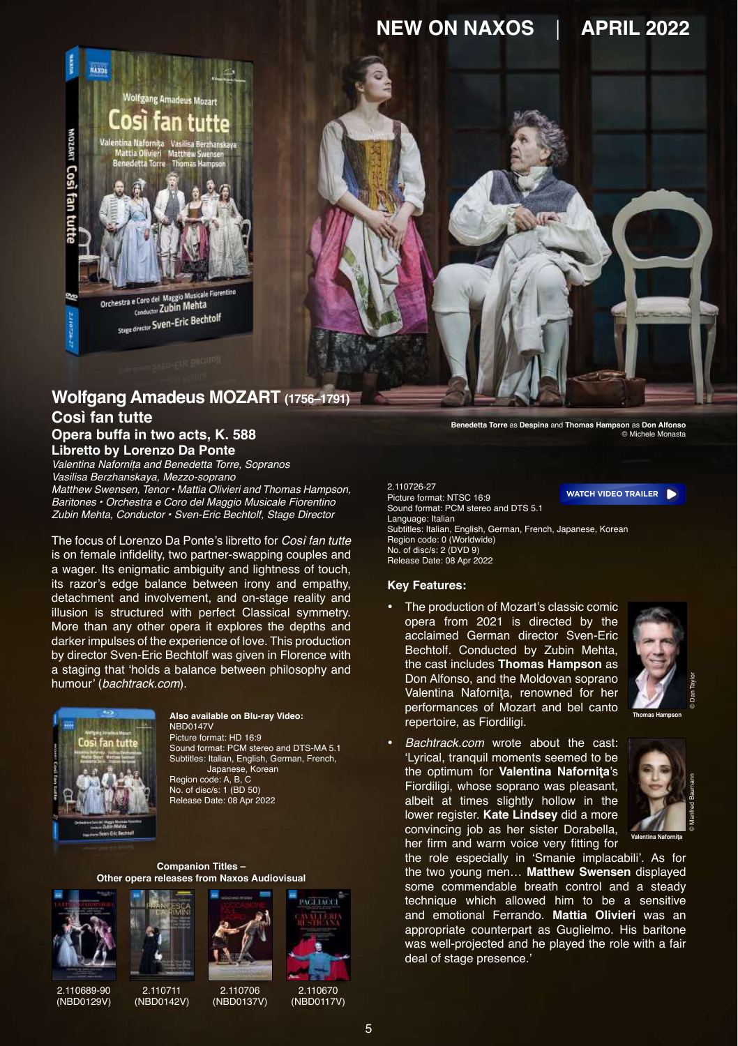

## **Wolfgang Amadeus MOZART (1756–1791) Così fan tutte Opera buffa in two acts, K. 588 Libretto by Lorenzo Da Ponte**

Valentina Nafornița and Benedetta Torre, Sopranos Vasilisa Berzhanskaya, Mezzo-soprano *Matthew Swensen, Tenor • Mattia Olivieri and Thomas Hampson,*  Baritones *• Orchestra e Coro del Maggio Musicale Fiorentino Zubin Mehta, Conductor •* Sven-Eric Bechtolf, Stage Director

The focus of Lorenzo Da Ponte's libretto for *Così fan tutte* is on female infidelity, two partner-swapping couples and a wager. Its enigmatic ambiguity and lightness of touch, its razor's edge balance between irony and empathy, detachment and involvement, and on-stage reality and illusion is structured with perfect Classical symmetry. More than any other opera it explores the depths and darker impulses of the experience of love. This production by director Sven-Eric Bechtolf was given in Florence with a staging that 'holds a balance between philosophy and humour' (*bachtrack.com*).



## NBD0147V

Picture format: HD 16:9 Sound format: PCM stereo and DTS-MA 5.1 Subtitles: Italian, English, German, French, Japanese, Korean Region code: A, B, C No. of disc/s: 1 (BD 50) Release Date: 08 Apr 2022

#### **Companion Titles – Other opera releases from Naxos Audiovisual**





2.110689-90 ([NBD0129V](https://naxosdirect.co.uk/items/wolfgang-amadeus-mozart-la-finta-giardiniera-563161))

2.110711 [\(NBD0142V\)](https://naxosdirect.co.uk/items/riccardo-zandonai-francesca-da-rimini-573617)



([NBD0137V](https://naxosdirect.co.uk/items/gioachino-rossini-loccasione-fa-il-ladro-571902))

2.110670

[\(NBD0117V\)](https://naxosdirect.co.uk/items/ruggero-leoncavallo-pagliacci-pietro-mascagni-cavalleria-rusticana-557605)

ACLIACCI

**Benedetta Torre** as **Despina** and **Thomas Hampson** as **Don Alfonso** © Michele Monasta

2.110726-27 Picture format: NTSC 16:9 Sound format: PCM stereo and DTS 5.1 Language: Italian Subtitles: Italian, English, German, French, Japanese, Korean Region code: 0 (Worldwide) No. of disc/s: 2 (DVD 9) Release Date: 08 Apr 2022 **[WATCH VIDEO TRAILER](https://youtu.be/RekdXOnlC7M)**

#### **Key Features:**

• The production of Mozart's classic comic opera from 2021 is directed by the acclaimed German director Sven-Eric Bechtolf. Conducted by Zubin Mehta, the cast includes **[Thomas Hampson](https://www.naxos.com/person/Thomas_Hampson/5453.htm)** as Don Alfonso, and the Moldovan soprano Valentina Nafornita, renowned for her performances of Mozart and bel canto repertoire, as Fiordiligi. **Also available on Blu-ray Video: Thomas Hampson**



© Dan Taylor

• Bachtrack.com wrote about the cast: 'Lyrical, tranquil moments seemed to be the optimum for **[Valentina Naforniţa](https://www.naxos.com/person/Valentina_Nafornita/242491.htm)**'s Fiordiligi, whose soprano was pleasant, albeit at times slightly hollow in the lower register. **[Kate Lindsey](https://www.naxos.com/person/Kate_Lindsey/222727.htm)** did a more convincing job as her sister Dorabella, her firm and warm voice very fitting for



the role especially in 'Smanie implacabili'. As for the two young men… **[Matthew Swensen](https://www.matthewswensen.com/biography)** displayed some commendable breath control and a steady technique which allowed him to be a sensitive and emotional Ferrando. **[Mattia Olivieri](https://www.naxos.com/person/Mattia_Olivieri/206821.htm)** was an appropriate counterpart as Guglielmo. His baritone was well-projected and he played the role with a fair deal of stage presence.'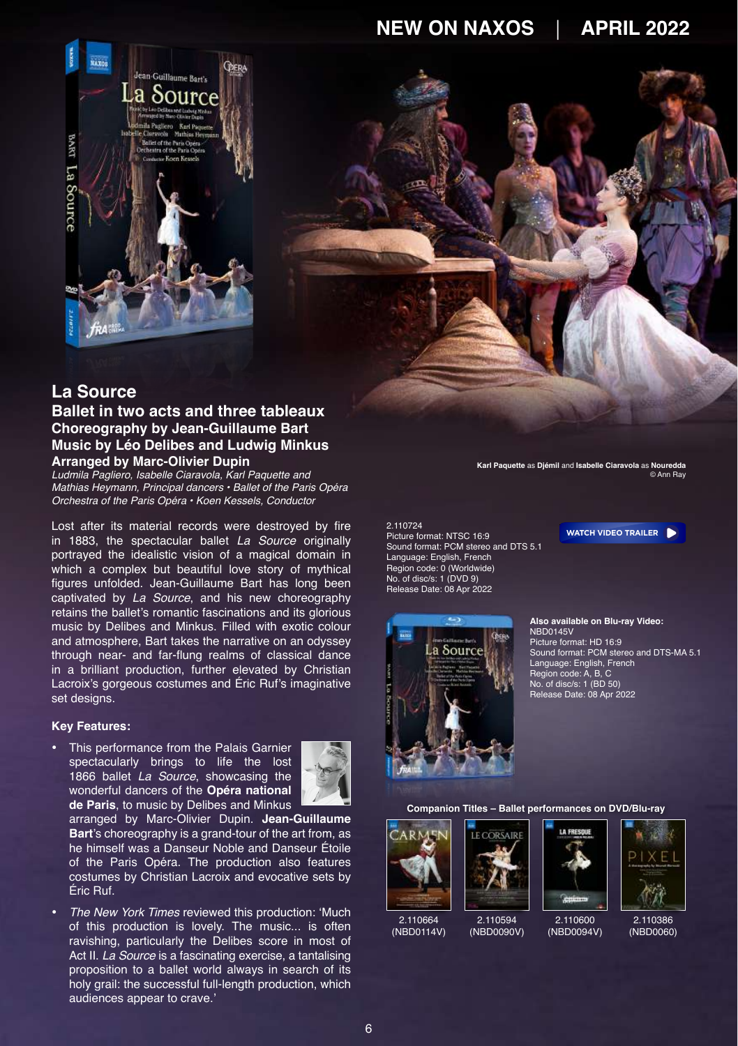

## **La Source**

## **Ballet in two acts and three tableaux Choreography by Jean-Guillaume Bart Music by Léo Delibes and Ludwig Minkus Arranged by Marc-Olivier Dupin**

*Ludmila Pagliero, Isabelle Ciaravola, Karl Paquette and Mathias Heymann, Principal dancers •* Ballet of the Paris Opéra Orchestra of the Paris Opéra *• Koen Kessels, Conductor*

Lost after its material records were destroyed by fire in 1883, the spectacular ballet *La Source* originally portrayed the idealistic vision of a magical domain in which a complex but beautiful love story of mythical figures unfolded. Jean-Guillaume Bart has long been captivated by *La Source*, and his new choreography retains the ballet's romantic fascinations and its glorious music by Delibes and Minkus. Filled with exotic colour and atmosphere, Bart takes the narrative on an odyssey through near- and far-flung realms of classical dance in a brilliant production, further elevated by Christian Lacroix's gorgeous costumes and Éric Ruf's imaginative set designs.

#### **Key Features:**

• This performance from the Palais Garnier spectacularly brings to life the lost 1866 ballet *La Source*, showcasing the wonderful dancers of the **[Opéra national](https://www.operadeparis.fr/en)  [de Paris](https://www.operadeparis.fr/en)**, to music by Delibes and Minkus



arranged by Marc-Olivier Dupin. **[Jean-Guillaume](https://www.operadeparis.fr/en/artists/jean-guillaume-bart)  [Bart](https://www.operadeparis.fr/en/artists/jean-guillaume-bart)**'s choreography is a grand-tour of the art from, as he himself was a Danseur Noble and Danseur Étoile of the Paris Opéra. The production also features costumes by Christian Lacroix and evocative sets by Éric Ruf.

• *The New York Times* reviewed this production: 'Much of this production is lovely. The music... is often ravishing, particularly the Delibes score in most of Act II. *La Source* is a fascinating exercise, a tantalising proposition to a ballet world always in search of its holy grail: the successful full-length production, which audiences appear to crave.'

**Karl Paquette** as **Djémil** and **Isabelle Ciaravola** as **Nouredda** © Ann Ray

2.110724 Picture format: NTSC 16:9 Sound format: PCM stereo and DTS 5.1 Language: English, French Region code: 0 (Worldwide) No. of disc/s: 1 (DVD 9) Release Date: 08 Apr 2022



**Also available on Blu-ray Video:** NBD0145V Picture format: HD 16:9 Sound format: PCM stereo and DTS-MA 5.1 Language: English, French Region code: A, B, C No. of disc/s: 1 (BD 50) Release Date: 08 Apr 2022

**[WATCH VIDEO TRAILER](https://youtu.be/dhxHochsCdQ)**

#### **Companion Titles – Ballet performances on DVD/Blu-ray**





COREATR





([NBD0060\)](https://naxosdirect.co.uk/items/amar-pixel-411241)





([NBD0090V\)](https://naxosdirect.co.uk/items/adolphe-adam-le-corsaire-485419)

2.110600 [\(NBD0094V\)](https://naxosdirect.co.uk/items/angelin-preljocaj-la-fresque-492968)

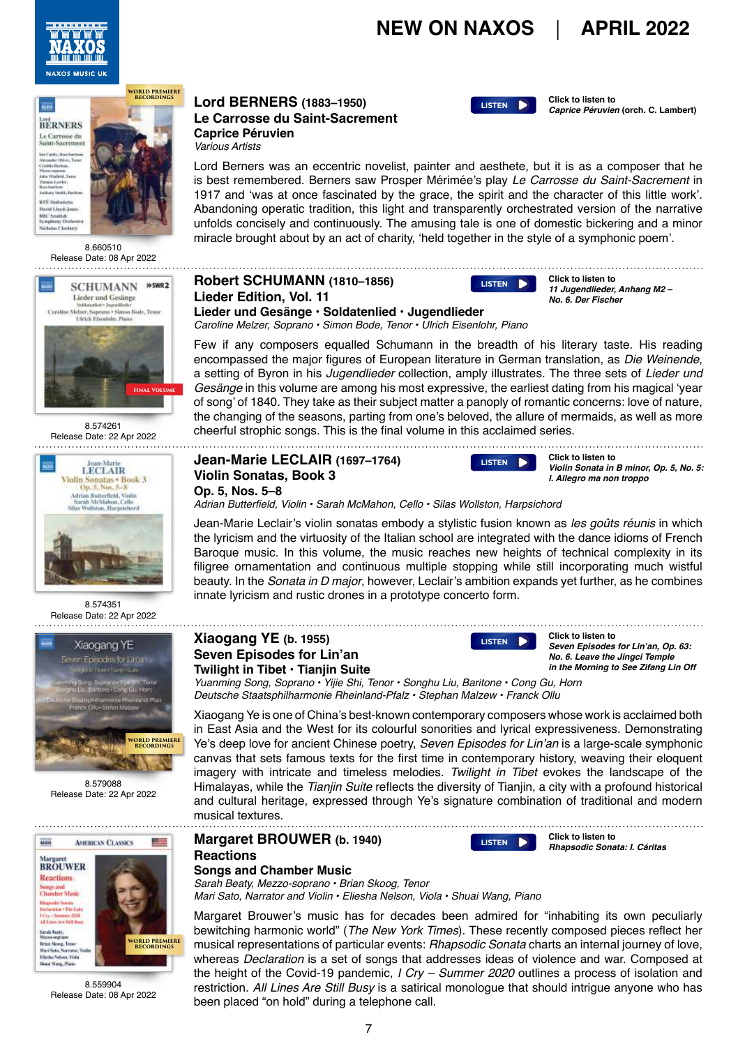





8.660510 Release Date: 08 Apr 2022



8.574261 Release Date: 22 Apr 2022



8.574351 Release Date: 22 Apr 2022



8.579088 Release Date: 22 Apr 2022



8.559904 Release Date: 08 Apr 2022

#### **LORDINGS LORD BERNERS** (1883–1950) **Click to listen to Captics Péruvie Le Carrosse du Saint-Sacrement Caprice Péruvien** *Various Artists*



**Click to listen to**<br>**Caprice Péruvien (orch. C. Lambert)** 

Lord Berners was an eccentric novelist, painter and aesthete, but it is as a composer that he is best remembered. Berners saw Prosper Mérimée's play Le Carrosse du Saint-Sacrement in 1917 and 'was at once fascinated by the grace, the spirit and the character of this little work'. Abandoning operatic tradition, this light and transparently orchestrated version of the narrative unfolds concisely and continuously. The amusing tale is one of domestic bickering and a minor miracle brought about by an act of charity, 'held together in the style of a symphonic poem'.

## **Robert SCHUMANN (1810–1856) Lieder Edition, Vol. 11**



**Click to listen to 11 Jugendlieder, Anhang M2 – No. 6. Der Fischer**

**Lieder und Gesänge • Soldatenlied • Jugendlieder** Caroline Melzer, Soprano • Simon Bode, Tenor • Ulrich Eisenlohr, Piano

Few if any composers equalled Schumann in the breadth of his literary taste. His reading encompassed the major figures of European literature in German translation, as *Die Weinende*, a setting of Byron in his *Jugendlieder* collection, amply illustrates. The three sets of *Lieder und Gesänge* in this volume are among his most expressive, the earliest dating from his magical 'year of song' of 1840. They take as their subject matter a panoply of romantic concerns: love of nature, the changing of the seasons, parting from one's beloved, the allure of mermaids, as well as more cheerful strophic songs. This is the final volume in this acclaimed series.

### **Jean-Marie LECLAIR (1697–1764) Violin Sonatas, Book 3 Op. 5, Nos. 5–8**



**Click to listen to Violin Sonata in B minor, Op. 5, No. 5: I. Allegro ma non troppo**

Adrian Butterfield, Violin • Sarah McMahon, Cello • Silas Wollston, Harpsichord

Jean-Marie Leclair's violin sonatas embody a stylistic fusion known as les goûts réunis in which the lyricism and the virtuosity of the Italian school are integrated with the dance idioms of French Baroque music. In this volume, the music reaches new heights of technical complexity in its filigree ornamentation and continuous multiple stopping while still incorporating much wistful beauty. In the *Sonata in D major*, however, Leclair's ambition expands yet further, as he combines innate lyricism and rustic drones in a prototype concerto form.

## **Xiaogang YE (b. 1955) Seven Episodes for Lin'an Twilight in Tibet • Tianjin Suite**

[LISTEN](https://soundcloud.com/naxosmusicgroup/8579088-track07-excerpt)<sub>1</sub>

**Click to listen to Seven Episodes for Lin'an, Op. 63: No. 6. Leave the Jingci Temple in the Morning to See Zifang Lin Off**

Yuanming Song, Soprano • Yijie Shi, Tenor • Songhu Liu, Baritone • Cong Gu, Horn Deutsche Staatsphilharmonie Rheinland-Pfalz • Stephan Malzew • Franck Ollu

Xiaogang Ye is one of China's best-known contemporary composers whose work is acclaimed both in East Asia and the West for its colourful sonorities and lyrical expressiveness. Demonstrating Ye's deep love for ancient Chinese poetry, Seven Episodes for Lin'an is a large-scale symphonic canvas that sets famous texts for the first time in contemporary history, weaving their eloquent imagery with intricate and timeless melodies. *Twilight in Tibet* evokes the landscape of the Himalayas, while the *Tianjin Suite* reflects the diversity of Tianjin, a city with a profound historical and cultural heritage, expressed through Ye's signature combination of traditional and modern musical textures. 

**Margaret BROUWER (b. 1940) Reactions**

**Click to listen to Rhapsodic Sonata: I. Cáritas [LISTEN](https://soundcloud.com/naxosmusicgroup/8559904-track01-excerpt)**

**Songs and Chamber Music**

Sarah Beaty, Mezzo-soprano • Brian Skoog, Tenor Mari Sato, Narrator and Violin • Eliesha Nelson, Viola • Shuai Wang, Piano

Margaret Brouwer's music has for decades been admired for "inhabiting its own peculiarly bewitching harmonic world" (*The New York Times*). These recently composed pieces reflect her musical representations of particular events: *Rhapsodic Sonata* charts an internal journey of love, whereas *Declaration* is a set of songs that addresses ideas of violence and war. Composed at the height of the Covid-19 pandemic, *I Cry – Summer 2020* outlines a process of isolation and restriction. All Lines Are Still Busy is a satirical monologue that should intrigue anyone who has been placed "on hold" during a telephone call.